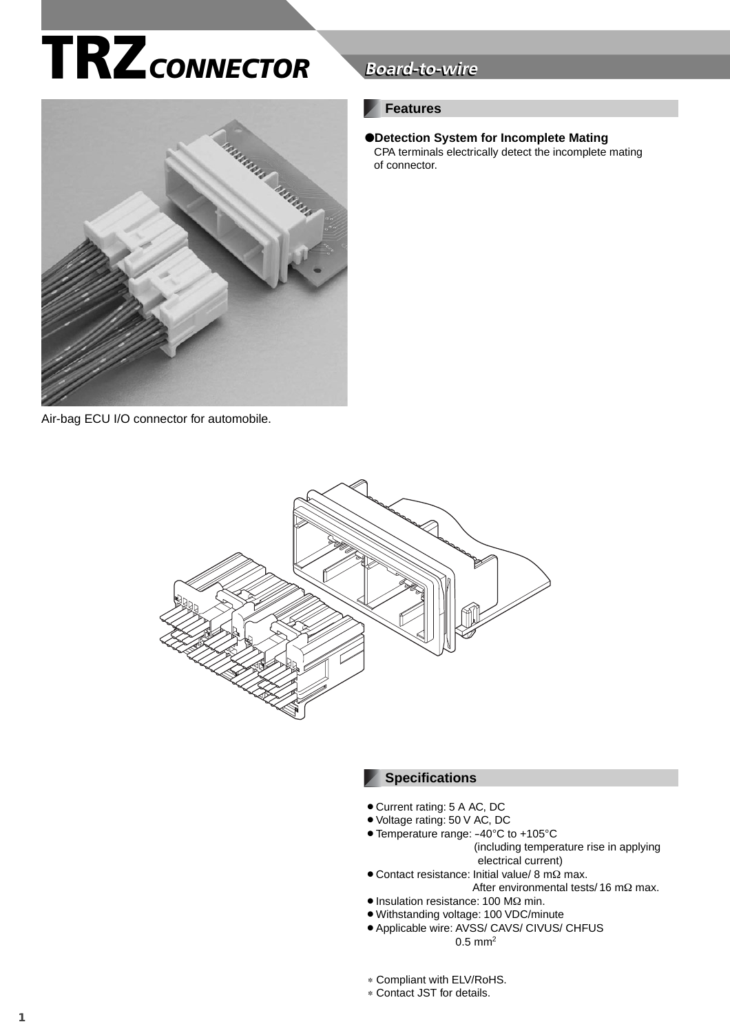# **TRZ***CONNECTOR* **Board-to-wire**



#### Air-bag ECU I/O connector for automobile.

## **Board-to-wire**

#### **Features**

●**Detection System for Incomplete Mating** CPA terminals electrically detect the incomplete mating of connector.



#### **Specifications**

- $\bullet$  Current rating: 5 A AC, DC
- ¡Voltage rating: 50 V AC, DC
- Temperature range: -40°C to +105°C (including temperature rise in applying
	- electrical current)
- $\bullet$  Contact resistance: Initial value/ 8 mΩ max. After environmental tests/ 16 mΩ max.
- Insulation resistance: 100 MΩ min.
- ¡Withstanding voltage: 100 VDC/minute • Applicable wire: AVSS/ CAVS/ CIVUS/ CHFUS  $0.5$  mm<sup>2</sup>
- ∗ Compliant with ELV/RoHS.
- ∗ Contact JST for details.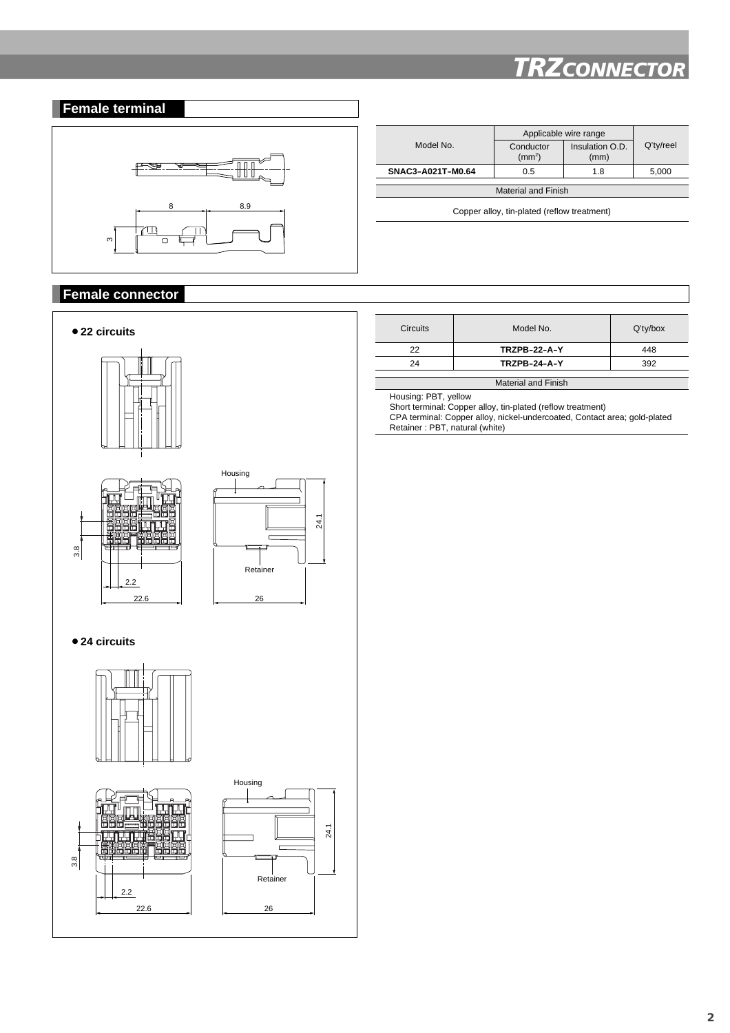## *TRZCONNECTOR*



#### **Female connector**



| <b>Circuits</b>            | Model No.           | $Q'$ ty/box |  |  |  |
|----------------------------|---------------------|-------------|--|--|--|
| 22                         | <b>TRZPB-22-A-Y</b> | 448         |  |  |  |
| 24                         | <b>TRZPB-24-A-Y</b> | 392         |  |  |  |
|                            |                     |             |  |  |  |
| <b>Material and Finish</b> |                     |             |  |  |  |

Housing: PBT, yellow

Short terminal: Copper alloy, tin-plated (reflow treatment) CPA terminal: Copper alloy, nickel-undercoated, Contact area; gold-plated Retainer : PBT, natural (white)